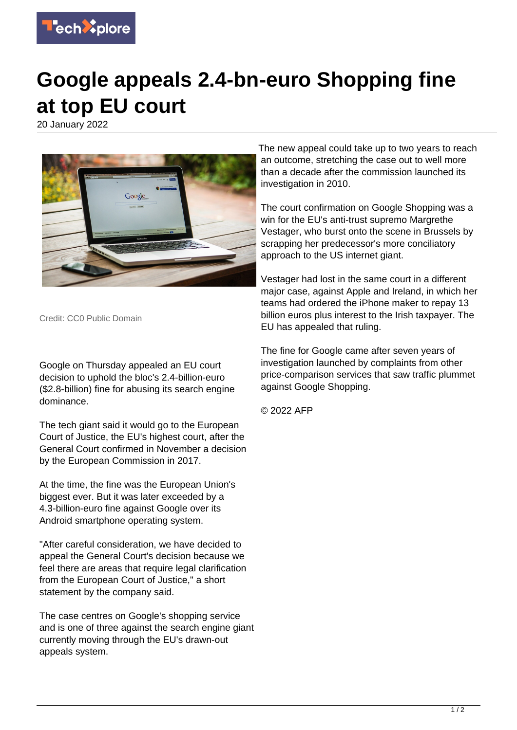

## **Google appeals 2.4-bn-euro Shopping fine at top EU court**

20 January 2022



Credit: CC0 Public Domain

Google on Thursday appealed an EU court decision to uphold the bloc's 2.4-billion-euro (\$2.8-billion) fine for abusing its search engine dominance.

The tech giant said it would go to the European Court of Justice, the EU's highest court, after the General Court confirmed in November a decision by the European Commission in 2017.

At the time, the fine was the European Union's biggest ever. But it was later exceeded by a 4.3-billion-euro fine against Google over its Android smartphone operating system.

"After careful consideration, we have decided to appeal the General Court's decision because we feel there are areas that require legal clarification from the European Court of Justice," a short statement by the company said.

The case centres on Google's shopping service and is one of three against the search engine giant currently moving through the EU's drawn-out appeals system.

The new appeal could take up to two years to reach an outcome, stretching the case out to well more than a decade after the commission launched its investigation in 2010.

The court confirmation on Google Shopping was a win for the EU's anti-trust supremo Margrethe Vestager, who burst onto the scene in Brussels by scrapping her predecessor's more conciliatory approach to the US internet giant.

Vestager had lost in the same court in a different major case, against Apple and Ireland, in which her teams had ordered the iPhone maker to repay 13 billion euros plus interest to the Irish taxpayer. The EU has appealed that ruling.

The fine for Google came after seven years of investigation launched by complaints from other price-comparison services that saw traffic plummet against Google Shopping.

© 2022 AFP